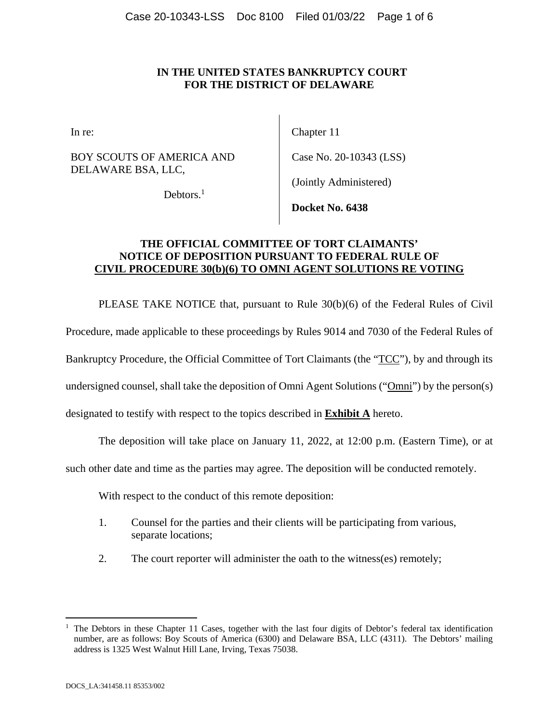### **IN THE UNITED STATES BANKRUPTCY COURT FOR THE DISTRICT OF DELAWARE**

BOY SCOUTS OF AMERICA AND DELAWARE BSA, LLC,

In re: Chapter 11

Case No. 20-10343 (LSS)

Debtors.<sup>1</sup>

(Jointly Administered)

**Docket No. 6438** 

### **THE OFFICIAL COMMITTEE OF TORT CLAIMANTS' NOTICE OF DEPOSITION PURSUANT TO FEDERAL RULE OF CIVIL PROCEDURE 30(b)(6) TO OMNI AGENT SOLUTIONS RE VOTING**

PLEASE TAKE NOTICE that, pursuant to Rule 30(b)(6) of the Federal Rules of Civil

Procedure, made applicable to these proceedings by Rules 9014 and 7030 of the Federal Rules of

Bankruptcy Procedure, the Official Committee of Tort Claimants (the "TCC"), by and through its

undersigned counsel, shall take the deposition of Omni Agent Solutions ("Omni") by the person(s)

designated to testify with respect to the topics described in **Exhibit A** hereto.

The deposition will take place on January 11, 2022, at 12:00 p.m. (Eastern Time), or at

such other date and time as the parties may agree. The deposition will be conducted remotely.

With respect to the conduct of this remote deposition:

- 1. Counsel for the parties and their clients will be participating from various, separate locations;
- 2. The court reporter will administer the oath to the witness(es) remotely;

 $\overline{a}$ 

<sup>&</sup>lt;sup>1</sup> The Debtors in these Chapter 11 Cases, together with the last four digits of Debtor's federal tax identification number, are as follows: Boy Scouts of America (6300) and Delaware BSA, LLC (4311). The Debtors' mailing address is 1325 West Walnut Hill Lane, Irving, Texas 75038.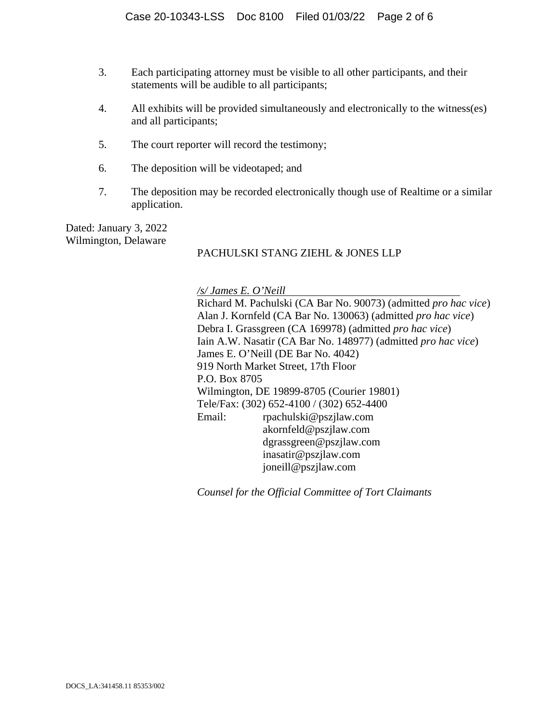- 3. Each participating attorney must be visible to all other participants, and their statements will be audible to all participants;
- 4. All exhibits will be provided simultaneously and electronically to the witness(es) and all participants;
- 5. The court reporter will record the testimony;
- 6. The deposition will be videotaped; and
- 7. The deposition may be recorded electronically though use of Realtime or a similar application.

Dated: January 3, 2022 Wilmington, Delaware

### PACHULSKI STANG ZIEHL & JONES LLP

*/s/ James E. O'Neill* 

Richard M. Pachulski (CA Bar No. 90073) (admitted *pro hac vice*) Alan J. Kornfeld (CA Bar No. 130063) (admitted *pro hac vice*) Debra I. Grassgreen (CA 169978) (admitted *pro hac vice*) Iain A.W. Nasatir (CA Bar No. 148977) (admitted *pro hac vice*) James E. O'Neill (DE Bar No. 4042) 919 North Market Street, 17th Floor P.O. Box 8705 Wilmington, DE 19899-8705 (Courier 19801) Tele/Fax: (302) 652-4100 / (302) 652-4400 Email: rpachulski@pszjlaw.com akornfeld@pszjlaw.com dgrassgreen@pszjlaw.com inasatir@pszjlaw.com joneill@pszjlaw.com

*Counsel for the Official Committee of Tort Claimants*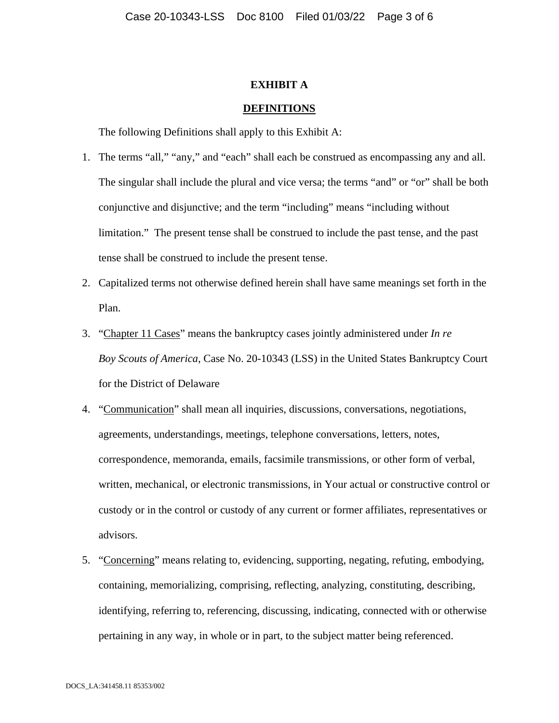### **EXHIBIT A**

#### **DEFINITIONS**

The following Definitions shall apply to this Exhibit A:

- 1. The terms "all," "any," and "each" shall each be construed as encompassing any and all. The singular shall include the plural and vice versa; the terms "and" or "or" shall be both conjunctive and disjunctive; and the term "including" means "including without limitation." The present tense shall be construed to include the past tense, and the past tense shall be construed to include the present tense.
- 2. Capitalized terms not otherwise defined herein shall have same meanings set forth in the Plan.
- 3. "Chapter 11 Cases" means the bankruptcy cases jointly administered under *In re Boy Scouts of America*, Case No. 20-10343 (LSS) in the United States Bankruptcy Court for the District of Delaware
- 4. "Communication" shall mean all inquiries, discussions, conversations, negotiations, agreements, understandings, meetings, telephone conversations, letters, notes, correspondence, memoranda, emails, facsimile transmissions, or other form of verbal, written, mechanical, or electronic transmissions, in Your actual or constructive control or custody or in the control or custody of any current or former affiliates, representatives or advisors.
- 5. "Concerning" means relating to, evidencing, supporting, negating, refuting, embodying, containing, memorializing, comprising, reflecting, analyzing, constituting, describing, identifying, referring to, referencing, discussing, indicating, connected with or otherwise pertaining in any way, in whole or in part, to the subject matter being referenced.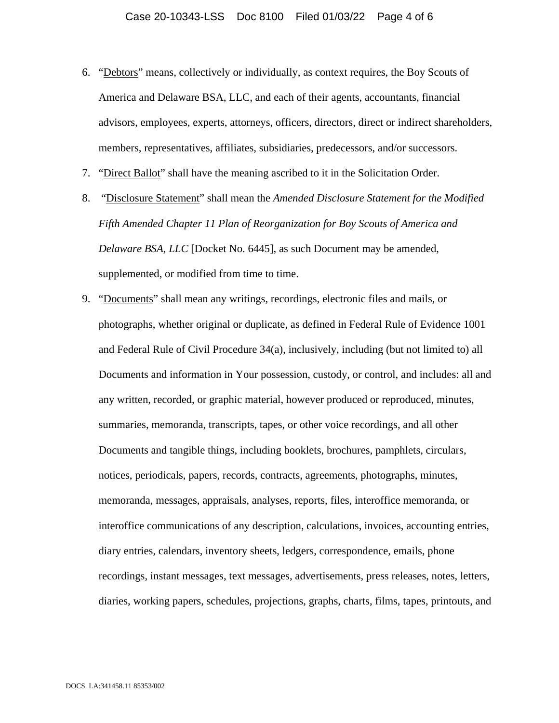- 6. "Debtors" means, collectively or individually, as context requires, the Boy Scouts of America and Delaware BSA, LLC, and each of their agents, accountants, financial advisors, employees, experts, attorneys, officers, directors, direct or indirect shareholders, members, representatives, affiliates, subsidiaries, predecessors, and/or successors.
- 7. "Direct Ballot" shall have the meaning ascribed to it in the Solicitation Order.
- 8. "Disclosure Statement" shall mean the *Amended Disclosure Statement for the Modified Fifth Amended Chapter 11 Plan of Reorganization for Boy Scouts of America and Delaware BSA, LLC* [Docket No. 6445], as such Document may be amended, supplemented, or modified from time to time.
- 9. "Documents" shall mean any writings, recordings, electronic files and mails, or photographs, whether original or duplicate, as defined in Federal Rule of Evidence 1001 and Federal Rule of Civil Procedure 34(a), inclusively, including (but not limited to) all Documents and information in Your possession, custody, or control, and includes: all and any written, recorded, or graphic material, however produced or reproduced, minutes, summaries, memoranda, transcripts, tapes, or other voice recordings, and all other Documents and tangible things, including booklets, brochures, pamphlets, circulars, notices, periodicals, papers, records, contracts, agreements, photographs, minutes, memoranda, messages, appraisals, analyses, reports, files, interoffice memoranda, or interoffice communications of any description, calculations, invoices, accounting entries, diary entries, calendars, inventory sheets, ledgers, correspondence, emails, phone recordings, instant messages, text messages, advertisements, press releases, notes, letters, diaries, working papers, schedules, projections, graphs, charts, films, tapes, printouts, and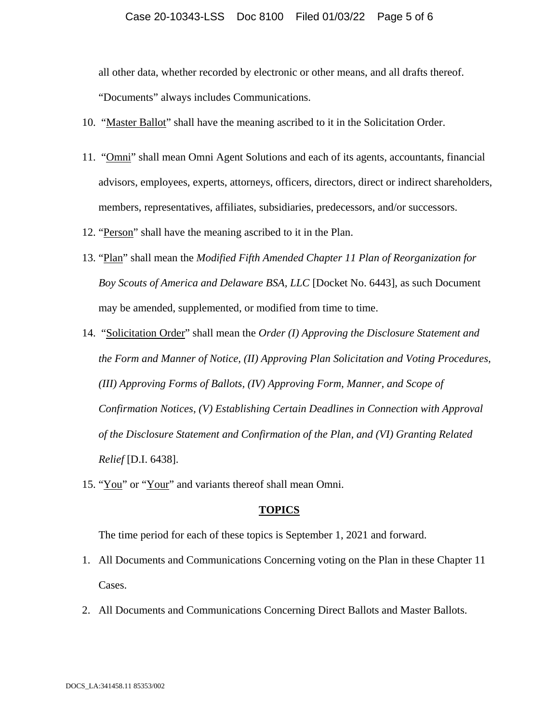### Case 20-10343-LSS Doc 8100 Filed 01/03/22 Page 5 of 6

all other data, whether recorded by electronic or other means, and all drafts thereof.

"Documents" always includes Communications.

- 10. "Master Ballot" shall have the meaning ascribed to it in the Solicitation Order.
- 11. "Omni" shall mean Omni Agent Solutions and each of its agents, accountants, financial advisors, employees, experts, attorneys, officers, directors, direct or indirect shareholders, members, representatives, affiliates, subsidiaries, predecessors, and/or successors.
- 12. "Person" shall have the meaning ascribed to it in the Plan.
- 13. "Plan" shall mean the *Modified Fifth Amended Chapter 11 Plan of Reorganization for Boy Scouts of America and Delaware BSA, LLC* [Docket No. 6443], as such Document may be amended, supplemented, or modified from time to time.
- 14. "Solicitation Order" shall mean the *Order (I) Approving the Disclosure Statement and the Form and Manner of Notice, (II) Approving Plan Solicitation and Voting Procedures, (III) Approving Forms of Ballots, (IV) Approving Form, Manner, and Scope of Confirmation Notices, (V) Establishing Certain Deadlines in Connection with Approval of the Disclosure Statement and Confirmation of the Plan, and (VI) Granting Related Relief* [D.I. 6438].
- 15. "You" or "Your" and variants thereof shall mean Omni.

#### **TOPICS**

The time period for each of these topics is September 1, 2021 and forward.

- 1. All Documents and Communications Concerning voting on the Plan in these Chapter 11 Cases.
- 2. All Documents and Communications Concerning Direct Ballots and Master Ballots.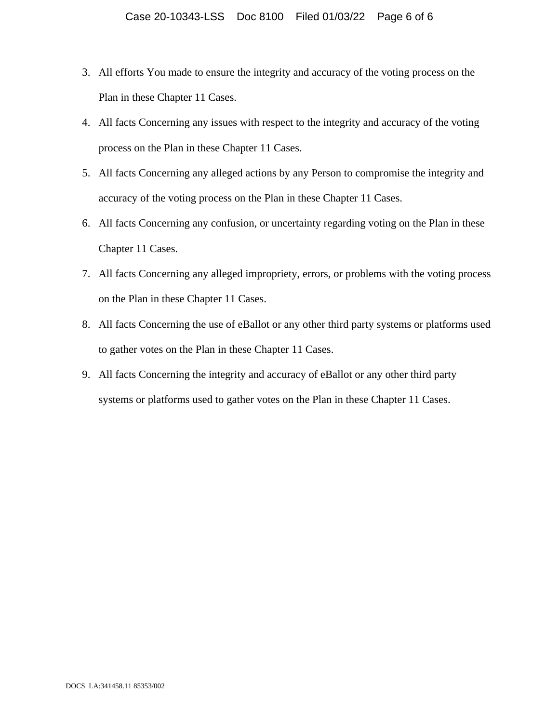- 3. All efforts You made to ensure the integrity and accuracy of the voting process on the Plan in these Chapter 11 Cases.
- 4. All facts Concerning any issues with respect to the integrity and accuracy of the voting process on the Plan in these Chapter 11 Cases.
- 5. All facts Concerning any alleged actions by any Person to compromise the integrity and accuracy of the voting process on the Plan in these Chapter 11 Cases.
- 6. All facts Concerning any confusion, or uncertainty regarding voting on the Plan in these Chapter 11 Cases.
- 7. All facts Concerning any alleged impropriety, errors, or problems with the voting process on the Plan in these Chapter 11 Cases.
- 8. All facts Concerning the use of eBallot or any other third party systems or platforms used to gather votes on the Plan in these Chapter 11 Cases.
- 9. All facts Concerning the integrity and accuracy of eBallot or any other third party systems or platforms used to gather votes on the Plan in these Chapter 11 Cases.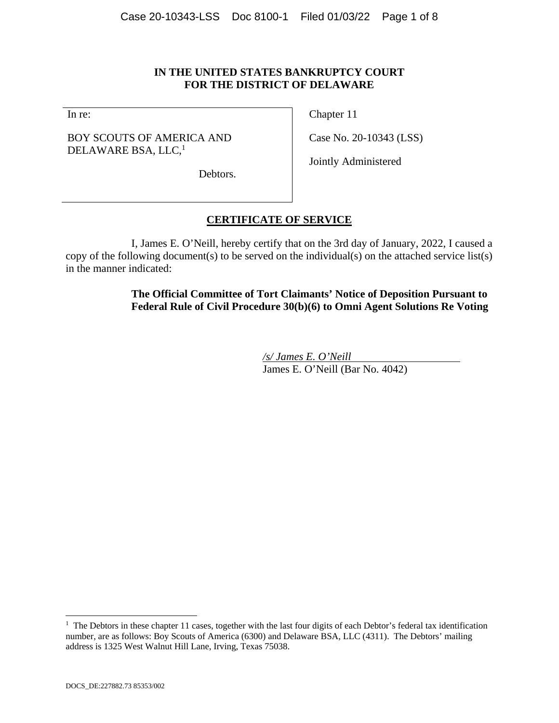### **IN THE UNITED STATES BANKRUPTCY COURT FOR THE DISTRICT OF DELAWARE**

In re:

### BOY SCOUTS OF AMERICA AND DELAWARE BSA, LLC,<sup>1</sup>

Chapter 11

Case No. 20-10343 (LSS)

Jointly Administered

Debtors.

## **CERTIFICATE OF SERVICE**

I, James E. O'Neill, hereby certify that on the 3rd day of January, 2022, I caused a copy of the following document(s) to be served on the individual(s) on the attached service list(s) in the manner indicated:

> **The Official Committee of Tort Claimants' Notice of Deposition Pursuant to Federal Rule of Civil Procedure 30(b)(6) to Omni Agent Solutions Re Voting**

> > */s/ James E. O'Neill*  James E. O'Neill (Bar No. 4042)

l

<sup>&</sup>lt;sup>1</sup> The Debtors in these chapter 11 cases, together with the last four digits of each Debtor's federal tax identification number, are as follows: Boy Scouts of America (6300) and Delaware BSA, LLC (4311). The Debtors' mailing address is 1325 West Walnut Hill Lane, Irving, Texas 75038.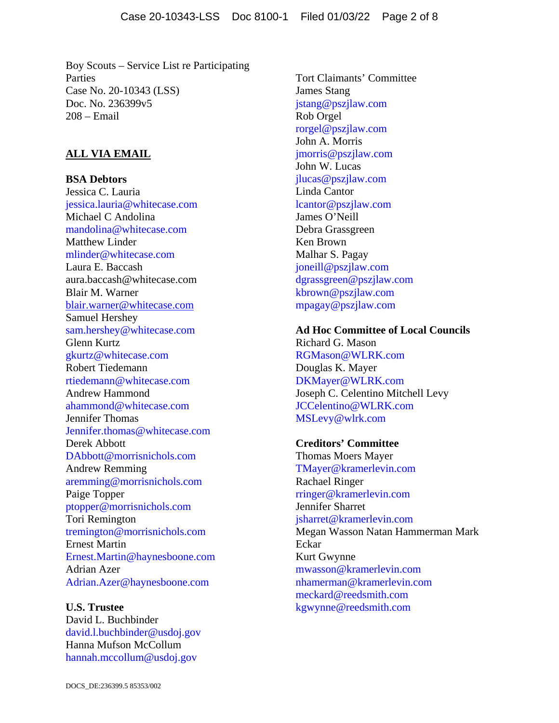Boy Scouts – Service List re Participating Parties Case No. 20-10343 (LSS) Doc. No. 236399v5 208 – Email

## **ALL VIA EMAIL**

**BSA Debtors**  Jessica C. Lauria jessica.lauria@whitecase.com Michael C Andolina mandolina@whitecase.com Matthew Linder mlinder@whitecase.com Laura E. Baccash aura.baccash@whitecase.com Blair M. Warner blair.warner@whitecase.com Samuel Hershey sam.hershey@whitecase.com Glenn Kurtz gkurtz@whitecase.com Robert Tiedemann rtiedemann@whitecase.com Andrew Hammond ahammond@whitecase.com Jennifer Thomas Jennifer.thomas@whitecase.com Derek Abbott DAbbott@morrisnichols.com Andrew Remming aremming@morrisnichols.com Paige Topper ptopper@morrisnichols.com Tori Remington tremington@morrisnichols.com Ernest Martin Ernest.Martin@haynesboone.com Adrian Azer Adrian.Azer@haynesboone.com

**U.S. Trustee**  David L. Buchbinder david.l.buchbinder@usdoj.gov Hanna Mufson McCollum hannah.mccollum@usdoj.gov

Tort Claimants' Committee James Stang jstang@pszjlaw.com Rob Orgel rorgel@pszjlaw.com John A. Morris jmorris@pszjlaw.com John W. Lucas jlucas@pszjlaw.com Linda Cantor lcantor@pszjlaw.com James O'Neill Debra Grassgreen Ken Brown Malhar S. Pagay joneill@pszjlaw.com dgrassgreen@pszjlaw.com kbrown@pszjlaw.com mpagay@pszjlaw.com

**Ad Hoc Committee of Local Councils**  Richard G. Mason RGMason@WLRK.com Douglas K. Mayer DKMayer@WLRK.com Joseph C. Celentino Mitchell Levy JCCelentino@WLRK.com MSLevy@wlrk.com

**Creditors' Committee**  Thomas Moers Mayer TMayer@kramerlevin.com Rachael Ringer rringer@kramerlevin.com Jennifer Sharret jsharret@kramerlevin.com Megan Wasson Natan Hammerman Mark Eckar Kurt Gwynne mwasson@kramerlevin.com nhamerman@kramerlevin.com meckard@reedsmith.com kgwynne@reedsmith.com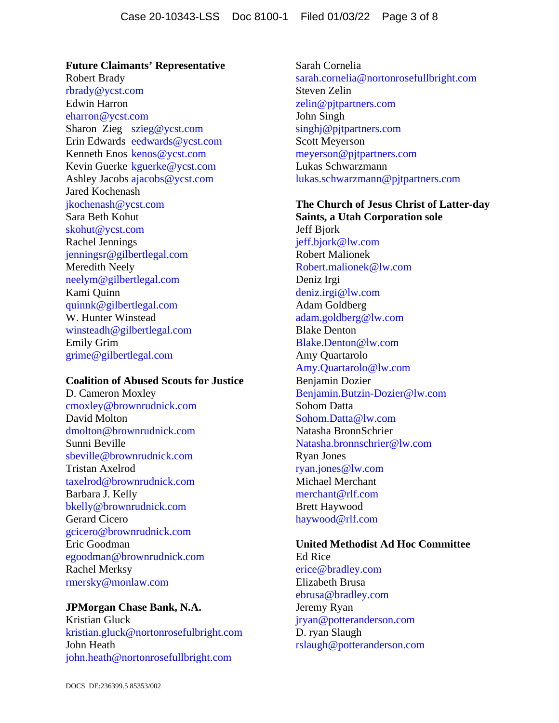**Future Claimants' Representative**  Robert Brady rbrady@ycst.com Edwin Harron eharron@ycst.com Sharon Zieg szieg@ycst.com Erin Edwards eedwards@ycst.com Kenneth Enos kenos@ycst.com Kevin Guerke kguerke@ycst.com Ashley Jacobs ajacobs@ycst.com Jared Kochenash jkochenash@ycst.com Sara Beth Kohut skohut@ycst.com Rachel Jennings jenningsr@gilbertlegal.com Meredith Neely neelym@gilbertlegal.com Kami Quinn quinnk@gilbertlegal.com W. Hunter Winstead winsteadh@gilbertlegal.com Emily Grim grime@gilbertlegal.com

### **Coalition of Abused Scouts for Justice**

D. Cameron Moxley cmoxley@brownrudnick.com David Molton dmolton@brownrudnick.com Sunni Beville sbeville@brownrudnick.com Tristan Axelrod taxelrod@brownrudnick.com Barbara J. Kelly bkelly@brownrudnick.com Gerard Cicero gcicero@brownrudnick.com Eric Goodman egoodman@brownrudnick.com Rachel Merksy rmersky@monlaw.com

## **JPMorgan Chase Bank, N.A.**

Kristian Gluck kristian.gluck@nortonrosefulbright.com John Heath john.heath@nortonrosefullbright.com

Sarah Cornelia sarah.cornelia@nortonrosefullbright.com Steven Zelin zelin@pjtpartners.com John Singh singhj@pjtpartners.com Scott Meyerson meyerson@pjtpartners.com Lukas Schwarzmann lukas.schwarzmann@pjtpartners.com

**The Church of Jesus Christ of Latter-day Saints, a Utah Corporation sole**  Jeff Bjork jeff.bjork@lw.com Robert Malionek Robert.malionek@lw.com Deniz Irgi deniz.irgi@lw.com Adam Goldberg adam.goldberg@lw.com Blake Denton Blake.Denton@lw.com Amy Quartarolo Amy.Quartarolo@lw.com Benjamin Dozier Benjamin.Butzin-Dozier@lw.com Sohom Datta Sohom.Datta@lw.com Natasha BronnSchrier Natasha.bronnschrier@lw.com Ryan Jones ryan.jones@lw.com Michael Merchant merchant@rlf.com Brett Haywood haywood@rlf.com

## **United Methodist Ad Hoc Committee**

Ed Rice erice@bradley.com Elizabeth Brusa ebrusa@bradley.com Jeremy Ryan jryan@potteranderson.com D. ryan Slaugh rslaugh@potteranderson.com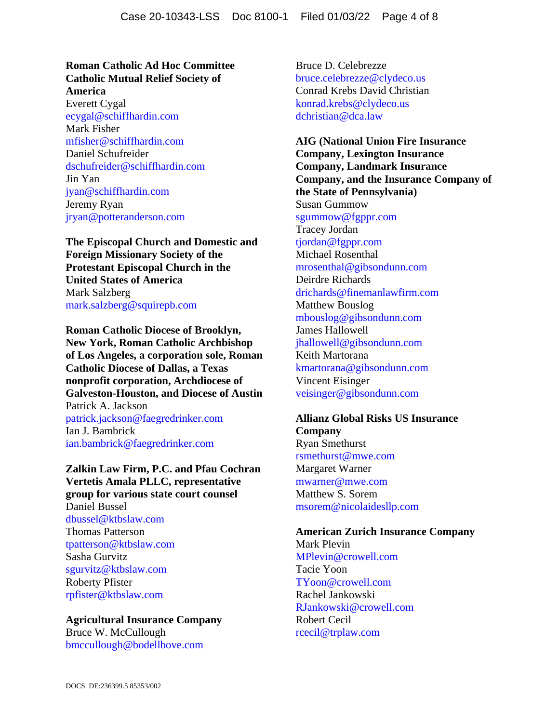### **Roman Catholic Ad Hoc Committee Catholic Mutual Relief Society of America**

Everett Cygal ecygal@schiffhardin.com Mark Fisher mfisher@schiffhardin.com Daniel Schufreider dschufreider@schiffhardin.com Jin Yan jyan@schiffhardin.com Jeremy Ryan jryan@potteranderson.com

**The Episcopal Church and Domestic and Foreign Missionary Society of the Protestant Episcopal Church in the United States of America**  Mark Salzberg mark.salzberg@squirepb.com

**Roman Catholic Diocese of Brooklyn, New York, Roman Catholic Archbishop of Los Angeles, a corporation sole, Roman Catholic Diocese of Dallas, a Texas nonprofit corporation, Archdiocese of Galveston-Houston, and Diocese of Austin**  Patrick A. Jackson patrick.jackson@faegredrinker.com

Ian J. Bambrick ian.bambrick@faegredrinker.com

**Zalkin Law Firm, P.C. and Pfau Cochran Vertetis Amala PLLC, representative group for various state court counsel**  Daniel Bussel dbussel@ktbslaw.com

Thomas Patterson tpatterson@ktbslaw.com Sasha Gurvitz sgurvitz@ktbslaw.com Roberty Pfister rpfister@ktbslaw.com

## **Agricultural Insurance Company**

Bruce W. McCullough bmccullough@bodellbove.com Bruce D. Celebrezze bruce.celebrezze@clydeco.us Conrad Krebs David Christian konrad.krebs@clydeco.us dchristian@dca.law

**AIG (National Union Fire Insurance Company, Lexington Insurance Company, Landmark Insurance Company, and the Insurance Company of the State of Pennsylvania)**  Susan Gummow sgummow@fgppr.com Tracey Jordan tjordan@fgppr.com Michael Rosenthal mrosenthal@gibsondunn.com Deirdre Richards drichards@finemanlawfirm.com Matthew Bouslog mbouslog@gibsondunn.com James Hallowell jhallowell@gibsondunn.com Keith Martorana kmartorana@gibsondunn.com Vincent Eisinger veisinger@gibsondunn.com

### **Allianz Global Risks US Insurance Company**

Ryan Smethurst rsmethurst@mwe.com Margaret Warner mwarner@mwe.com Matthew S. Sorem msorem@nicolaidesllp.com

## **American Zurich Insurance Company**  Mark Plevin MPlevin@crowell.com Tacie Yoon TYoon@crowell.com

Rachel Jankowski RJankowski@crowell.com Robert Cecil rcecil@trplaw.com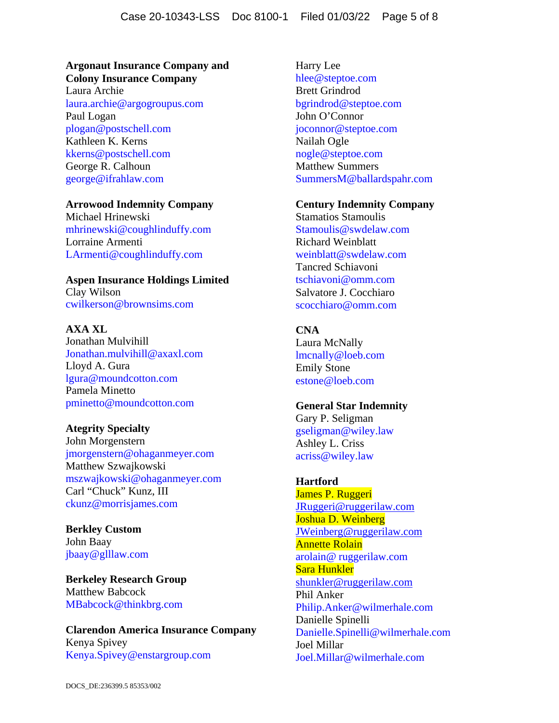## **Argonaut Insurance Company and Colony Insurance Company**

Laura Archie laura.archie@argogroupus.com Paul Logan plogan@postschell.com Kathleen K. Kerns kkerns@postschell.com George R. Calhoun george@ifrahlaw.com

### **Arrowood Indemnity Company**

Michael Hrinewski mhrinewski@coughlinduffy.com Lorraine Armenti LArmenti@coughlinduffy.com

# **Aspen Insurance Holdings Limited**

Clay Wilson cwilkerson@brownsims.com

## **AXA XL**

Jonathan Mulvihill Jonathan.mulvihill@axaxl.com Lloyd A. Gura lgura@moundcotton.com Pamela Minetto pminetto@moundcotton.com

## **Ategrity Specialty**

John Morgenstern jmorgenstern@ohaganmeyer.com Matthew Szwajkowski mszwajkowski@ohaganmeyer.com Carl "Chuck" Kunz, III ckunz@morrisjames.com

**Berkley Custom**  John Baay jbaay@glllaw.com

**Berkeley Research Group**  Matthew Babcock MBabcock@thinkbrg.com

## **Clarendon America Insurance Company**  Kenya Spivey Kenya.Spivey@enstargroup.com

Harry Lee hlee@steptoe.com Brett Grindrod bgrindrod@steptoe.com John O'Connor joconnor@steptoe.com Nailah Ogle nogle@steptoe.com Matthew Summers SummersM@ballardspahr.com

### **Century Indemnity Company**

Stamatios Stamoulis Stamoulis@swdelaw.com Richard Weinblatt weinblatt@swdelaw.com Tancred Schiavoni tschiavoni@omm.com Salvatore J. Cocchiaro scocchiaro@omm.com

## **CNA**

Laura McNally lmcnally@loeb.com Emily Stone estone@loeb.com

## **General Star Indemnity**

Gary P. Seligman gseligman@wiley.law Ashley L. Criss acriss@wiley.law

## **Hartford**

James P. Ruggeri JRuggeri@ruggerilaw.com Joshua D. Weinberg JWeinberg@ruggerilaw.com Annette Rolain arolain@ ruggerilaw.com Sara Hunkler shunkler@ruggerilaw.com Phil Anker Philip.Anker@wilmerhale.com Danielle Spinelli Danielle.Spinelli@wilmerhale.com Joel Millar Joel.Millar@wilmerhale.com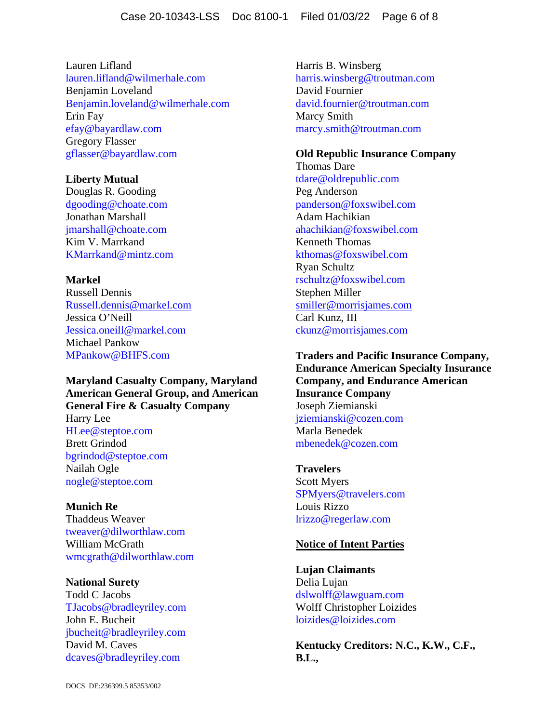Lauren Lifland lauren.lifland@wilmerhale.com Benjamin Loveland Benjamin.loveland@wilmerhale.com Erin Fay efay@bayardlaw.com Gregory Flasser gflasser@bayardlaw.com

### **Liberty Mutual**

Douglas R. Gooding dgooding@choate.com Jonathan Marshall jmarshall@choate.com Kim V. Marrkand KMarrkand@mintz.com

### **Markel**

Russell Dennis Russell.dennis@markel.com Jessica O'Neill Jessica.oneill@markel.com Michael Pankow MPankow@BHFS.com

**Maryland Casualty Company, Maryland American General Group, and American General Fire & Casualty Company**  Harry Lee HLee@steptoe.com Brett Grindod bgrindod@steptoe.com Nailah Ogle nogle@steptoe.com

**Munich Re**  Thaddeus Weaver tweaver@dilworthlaw.com William McGrath wmcgrath@dilworthlaw.com

**National Surety**  Todd C Jacobs TJacobs@bradleyriley.com John E. Bucheit jbucheit@bradleyriley.com David M. Caves dcaves@bradleyriley.com

Harris B. Winsberg harris.winsberg@troutman.com David Fournier david.fournier@troutman.com Marcy Smith marcy.smith@troutman.com

### **Old Republic Insurance Company**

Thomas Dare tdare@oldrepublic.com Peg Anderson panderson@foxswibel.com Adam Hachikian ahachikian@foxswibel.com Kenneth Thomas kthomas@foxswibel.com Ryan Schultz rschultz@foxswibel.com Stephen Miller smiller@morrisjames.com Carl Kunz, III ckunz@morrisjames.com

**Traders and Pacific Insurance Company, Endurance American Specialty Insurance Company, and Endurance American Insurance Company**  Joseph Ziemianski jziemianski@cozen.com Marla Benedek mbenedek@cozen.com

**Travelers**  Scott Myers SPMyers@travelers.com Louis Rizzo lrizzo@regerlaw.com

### **Notice of Intent Parties**

**Lujan Claimants**  Delia Lujan dslwolff@lawguam.com Wolff Christopher Loizides loizides@loizides.com

**Kentucky Creditors: N.C., K.W., C.F., B.L.,**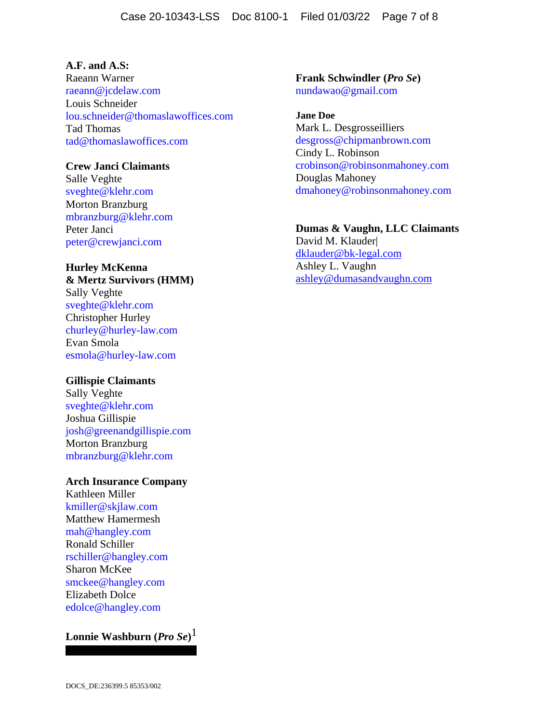## **A.F. and A.S:**

Raeann Warner raeann@jcdelaw.com Louis Schneider lou.schneider@thomaslawoffices.com Tad Thomas tad@thomaslawoffices.com

### **Crew Janci Claimants**

Salle Veghte sveghte@klehr.com Morton Branzburg mbranzburg@klehr.com Peter Janci peter@crewjanci.com

# **Hurley McKenna**

**& Mertz Survivors (HMM)**  Sally Veghte sveghte@klehr.com Christopher Hurley churley@hurley-law.com Evan Smola esmola@hurley-law.com

### **Gillispie Claimants**

Sally Veghte sveghte@klehr.com Joshua Gillispie josh@greenandgillispie.com Morton Branzburg mbranzburg@klehr.com

### **Arch Insurance Company**

Kathleen Miller kmiller@skjlaw.com Matthew Hamermesh mah@hangley.com Ronald Schiller rschiller@hangley.com Sharon McKee smckee@hangley.com Elizabeth Dolce edolce@hangley.com

# **Lonnie Washburn (***Pro Se***)** 1

**Frank Schwindler (***Pro Se***)**  nundawao@gmail.com

**Jane Doe**  Mark L. Desgrosseilliers desgross@chipmanbrown.com Cindy L. Robinson crobinson@robinsonmahoney.com Douglas Mahoney dmahoney@robinsonmahoney.com

### **Dumas & Vaughn, LLC Claimants**

David M. Klauder| dklauder@bk-legal.com Ashley L. Vaughn ashley@dumasandvaughn.com